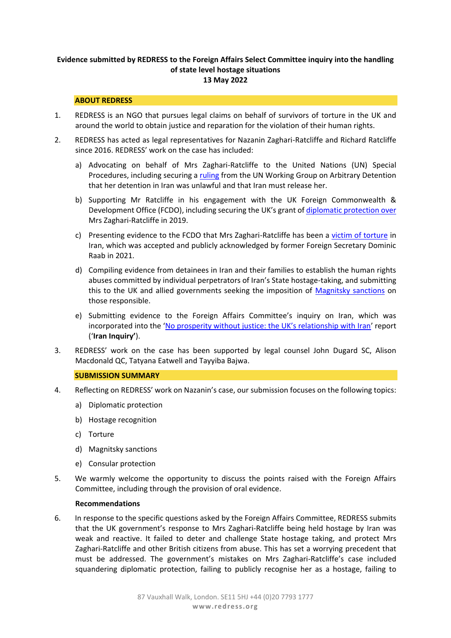# **Evidence submitted by REDRESS to the Foreign Affairs Select Committee inquiry into the handling of state level hostage situations 13 May 2022**

## **ABOUT REDRESS**

- 1. REDRESS is an NGO that pursues legal claims on behalf of survivors of torture in the UK and around the world to obtain justice and reparation for the violation of their human rights.
- 2. REDRESS has acted as legal representatives for Nazanin Zaghari-Ratcliffe and Richard Ratcliffe since 2016. REDRESS' work on the case has included:
	- a) Advocating on behalf of Mrs Zaghari-Ratcliffe to the United Nations (UN) Special Procedures, including securing a [ruling](about:blank) from the UN Working Group on Arbitrary Detention that her detention in Iran was unlawful and that Iran must release her.
	- b) Supporting Mr Ratcliffe in his engagement with the UK Foreign Commonwealth & Development Office (FCDO), including securing the UK's grant o[f diplomatic protection](about:blank) over Mrs Zaghari-Ratcliffe in 2019.
	- c) Presenting evidence to the FCDO that Mrs Zaghari-Ratcliffe has been a [victim of torture](about:blank) in Iran, which was accepted and publicly acknowledged by former Foreign Secretary Dominic Raab in 2021.
	- d) Compiling evidence from detainees in Iran and their families to establish the human rights abuses committed by individual perpetrators of Iran's State hostage-taking, and submitting this to the UK and allied governments seeking the imposition of [Magnitsky sanctions](about:blank) on those responsible.
	- e) Submitting evidence to the Foreign Affairs Committee's inquiry on Iran, which was incorporated into the ['No prosperity without justice: the UK's relationship with Iran'](about:blank) report ('**Iran Inquiry'**).
- 3. REDRESS' work on the case has been supported by legal counsel John Dugard SC, Alison Macdonald QC, Tatyana Eatwell and Tayyiba Bajwa.

## **SUBMISSION SUMMARY**

- 4. Reflecting on REDRESS' work on Nazanin's case, our submission focuses on the following topics:
	- a) Diplomatic protection
	- b) Hostage recognition
	- c) Torture
	- d) Magnitsky sanctions
	- e) Consular protection
- 5. We warmly welcome the opportunity to discuss the points raised with the Foreign Affairs Committee, including through the provision of oral evidence.

#### **Recommendations**

6. In response to the specific questions asked by the Foreign Affairs Committee, REDRESS submits that the UK government's response to Mrs Zaghari-Ratcliffe being held hostage by Iran was weak and reactive. It failed to deter and challenge State hostage taking, and protect Mrs Zaghari-Ratcliffe and other British citizens from abuse. This has set a worrying precedent that must be addressed. The government's mistakes on Mrs Zaghari-Ratcliffe's case included squandering diplomatic protection, failing to publicly recognise her as a hostage, failing to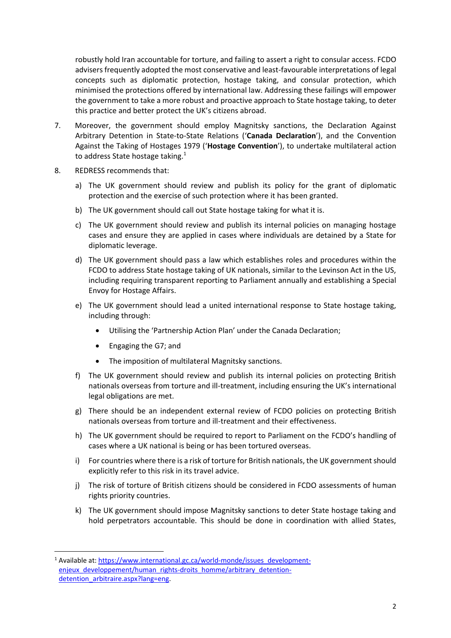robustly hold Iran accountable for torture, and failing to assert a right to consular access. FCDO advisers frequently adopted the most conservative and least-favourable interpretations of legal concepts such as diplomatic protection, hostage taking, and consular protection, which minimised the protections offered by international law. Addressing these failings will empower the government to take a more robust and proactive approach to State hostage taking, to deter this practice and better protect the UK's citizens abroad.

- 7. Moreover, the government should employ Magnitsky sanctions, the Declaration Against Arbitrary Detention in State-to-State Relations ('**Canada Declaration**'), and the Convention Against the Taking of Hostages 1979 ('**Hostage Convention**'), to undertake multilateral action to address State hostage taking.<sup>1</sup>
- 8. REDRESS recommends that:
	- a) The UK government should review and publish its policy for the grant of diplomatic protection and the exercise of such protection where it has been granted.
	- b) The UK government should call out State hostage taking for what it is.
	- c) The UK government should review and publish its internal policies on managing hostage cases and ensure they are applied in cases where individuals are detained by a State for diplomatic leverage.
	- d) The UK government should pass a law which establishes roles and procedures within the FCDO to address State hostage taking of UK nationals, similar to the Levinson Act in the US, including requiring transparent reporting to Parliament annually and establishing a Special Envoy for Hostage Affairs.
	- e) The UK government should lead a united international response to State hostage taking, including through:
		- Utilising the 'Partnership Action Plan' under the Canada Declaration;
		- Engaging the G7; and
		- The imposition of multilateral Magnitsky sanctions.
	- f) The UK government should review and publish its internal policies on protecting British nationals overseas from torture and ill-treatment, including ensuring the UK's international legal obligations are met.
	- g) There should be an independent external review of FCDO policies on protecting British nationals overseas from torture and ill-treatment and their effectiveness.
	- h) The UK government should be required to report to Parliament on the FCDO's handling of cases where a UK national is being or has been tortured overseas.
	- i) For countries where there is a risk of torture for British nationals, the UK government should explicitly refer to this risk in its travel advice.
	- j) The risk of torture of British citizens should be considered in FCDO assessments of human rights priority countries.
	- k) The UK government should impose Magnitsky sanctions to deter State hostage taking and hold perpetrators accountable. This should be done in coordination with allied States,

<sup>&</sup>lt;sup>1</sup> Available at: [https://www.international.gc.ca/world-monde/issues\\_development](about:blank)[enjeux\\_developpement/human\\_rights-droits\\_homme/arbitrary\\_detention](about:blank)detention arbitraire.aspx?lang=eng.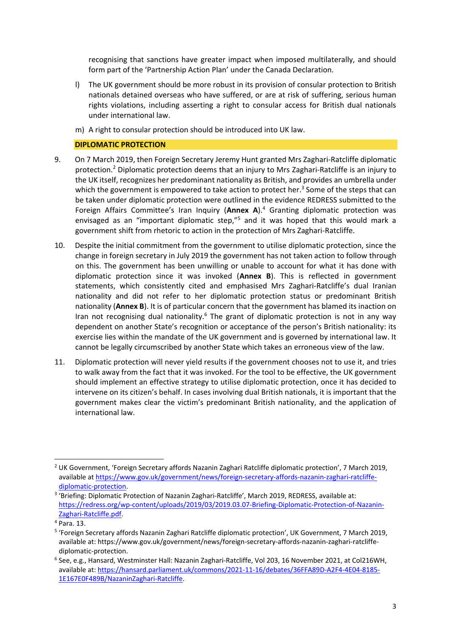recognising that sanctions have greater impact when imposed multilaterally, and should form part of the 'Partnership Action Plan' under the Canada Declaration.

- l) The UK government should be more robust in its provision of consular protection to British nationals detained overseas who have suffered, or are at risk of suffering, serious human rights violations, including asserting a right to consular access for British dual nationals under international law.
- m) A right to consular protection should be introduced into UK law.

### **DIPLOMATIC PROTECTION**

- 9. On 7 March 2019, then Foreign Secretary Jeremy Hunt granted Mrs Zaghari-Ratcliffe diplomatic protection.<sup>2</sup> Diplomatic protection deems that an injury to Mrs Zaghari-Ratcliffe is an injury to the UK itself, recognizes her predominant nationality as British, and provides an umbrella under which the government is empowered to take action to protect her.<sup>3</sup> Some of the steps that can be taken under diplomatic protection were outlined in the evidence REDRESS submitted to the Foreign Affairs Committee's Iran Inquiry (**Annex A**).<sup>4</sup> Granting diplomatic protection was envisaged as an "important diplomatic step,"<sup>5</sup> and it was hoped that this would mark a government shift from rhetoric to action in the protection of Mrs Zaghari-Ratcliffe.
- 10. Despite the initial commitment from the government to utilise diplomatic protection, since the change in foreign secretary in July 2019 the government has not taken action to follow through on this. The government has been unwilling or unable to account for what it has done with diplomatic protection since it was invoked (**Annex B**). This is reflected in government statements, which consistently cited and emphasised Mrs Zaghari-Ratcliffe's dual Iranian nationality and did not refer to her diplomatic protection status or predominant British nationality (**Annex B**). It is of particular concern that the government has blamed its inaction on Iran not recognising dual nationality.<sup>6</sup> The grant of diplomatic protection is not in any way dependent on another State's recognition or acceptance of the person's British nationality: its exercise lies within the mandate of the UK government and is governed by international law. It cannot be legally circumscribed by another State which takes an erroneous view of the law.
- 11. Diplomatic protection will never yield results if the government chooses not to use it, and tries to walk away from the fact that it was invoked. For the tool to be effective, the UK government should implement an effective strategy to utilise diplomatic protection, once it has decided to intervene on its citizen's behalf. In cases involving dual British nationals, it is important that the government makes clear the victim's predominant British nationality, and the application of international law.

<sup>&</sup>lt;sup>2</sup> UK Government, 'Foreign Secretary affords Nazanin Zaghari Ratcliffe diplomatic protection', 7 March 2019, available a[t https://www.gov.uk/government/news/foreign-secretary-affords-nazanin-zaghari-ratcliffe](about:blank)[diplomatic-protection.](about:blank)

<sup>&</sup>lt;sup>3</sup> 'Briefing: Diplomatic Protection of Nazanin Zaghari-Ratcliffe', March 2019, REDRESS, available at: [https://redress.org/wp-content/uploads/2019/03/2019.03.07-Briefing-Diplomatic-Protection-of-Nazanin-](about:blank)[Zaghari-Ratcliffe.pdf.](about:blank)

<sup>4</sup> Para. 13.

<sup>&</sup>lt;sup>5</sup> 'Foreign Secretary affords Nazanin Zaghari Ratcliffe diplomatic protection', UK Government, 7 March 2019, available at: https://www.gov.uk/government/news/foreign-secretary-affords-nazanin-zaghari-ratcliffediplomatic-protection.

<sup>6</sup> See, e.g., Hansard, Westminster Hall: Nazanin Zaghari-Ratcliffe, Vol 203, 16 November 2021, at Col216WH, available at: [https://hansard.parliament.uk/commons/2021-11-16/debates/36FFA89D-A2F4-4E04-8185-](about:blank) [1E167E0F489B/NazaninZaghari-Ratcliffe.](about:blank)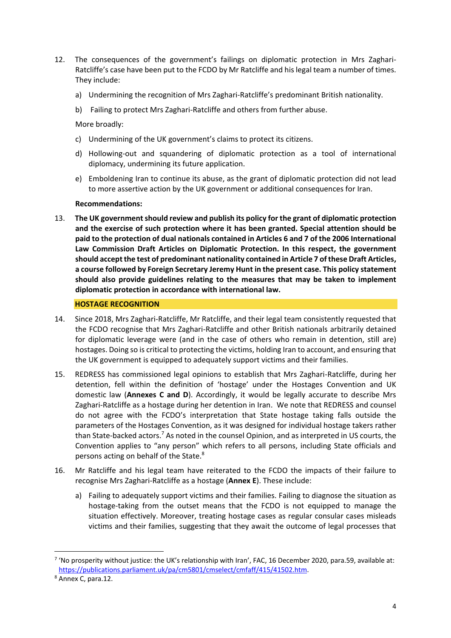- 12. The consequences of the government's failings on diplomatic protection in Mrs Zaghari-Ratcliffe's case have been put to the FCDO by Mr Ratcliffe and his legal team a number of times. They include:
	- a) Undermining the recognition of Mrs Zaghari-Ratcliffe's predominant British nationality.
	- b) Failing to protect Mrs Zaghari-Ratcliffe and others from further abuse.

More broadly:

- c) Undermining of the UK government's claims to protect its citizens.
- d) Hollowing-out and squandering of diplomatic protection as a tool of international diplomacy, undermining its future application.
- e) Emboldening Iran to continue its abuse, as the grant of diplomatic protection did not lead to more assertive action by the UK government or additional consequences for Iran.

## **Recommendations:**

13. **The UK government should review and publish its policy for the grant of diplomatic protection and the exercise of such protection where it has been granted. Special attention should be paid to the protection of dual nationals contained in Articles 6 and 7 of the 2006 International Law Commission Draft Articles on Diplomatic Protection. In this respect, the government should accept the test of predominant nationality contained in Article 7 of these Draft Articles, a course followed by Foreign Secretary Jeremy Hunt in the present case. This policy statement should also provide guidelines relating to the measures that may be taken to implement diplomatic protection in accordance with international law.**

### **HOSTAGE RECOGNITION**

- 14. Since 2018, Mrs Zaghari-Ratcliffe, Mr Ratcliffe, and their legal team consistently requested that the FCDO recognise that Mrs Zaghari-Ratcliffe and other British nationals arbitrarily detained for diplomatic leverage were (and in the case of others who remain in detention, still are) hostages. Doing so is critical to protecting the victims, holding Iran to account, and ensuring that the UK government is equipped to adequately support victims and their families.
- 15. REDRESS has commissioned legal opinions to establish that Mrs Zaghari-Ratcliffe, during her detention, fell within the definition of 'hostage' under the Hostages Convention and UK domestic law (**Annexes C and D**). Accordingly, it would be legally accurate to describe Mrs Zaghari-Ratcliffe as a hostage during her detention in Iran. We note that REDRESS and counsel do not agree with the FCDO's interpretation that State hostage taking falls outside the parameters of the Hostages Convention, as it was designed for individual hostage takers rather than State-backed actors.<sup>7</sup> As noted in the counsel Opinion, and as interpreted in US courts, the Convention applies to "any person" which refers to all persons, including State officials and persons acting on behalf of the State.<sup>8</sup>
- 16. Mr Ratcliffe and his legal team have reiterated to the FCDO the impacts of their failure to recognise Mrs Zaghari-Ratcliffe as a hostage (**Annex E**). These include:
	- a) Failing to adequately support victims and their families. Failing to diagnose the situation as hostage-taking from the outset means that the FCDO is not equipped to manage the situation effectively. Moreover, treating hostage cases as regular consular cases misleads victims and their families, suggesting that they await the outcome of legal processes that

 $7$  'No prosperity without justice: the UK's relationship with Iran', FAC, 16 December 2020, para.59, available at: [https://publications.parliament.uk/pa/cm5801/cmselect/cmfaff/415/41502.htm.](https://publications.parliament.uk/pa/cm5801/cmselect/cmfaff/415/41502.htm) 

<sup>8</sup> Annex C, para.12.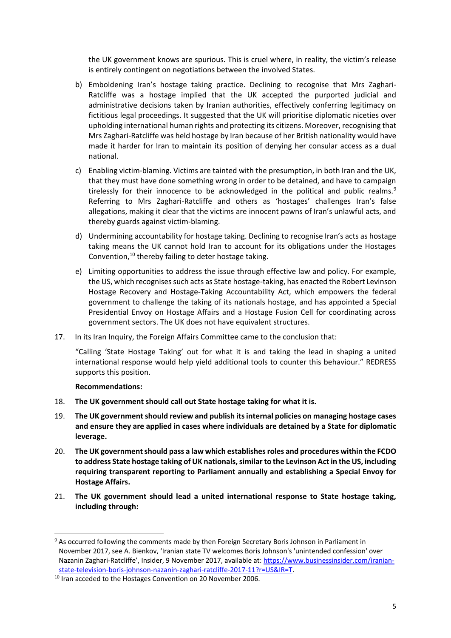the UK government knows are spurious. This is cruel where, in reality, the victim's release is entirely contingent on negotiations between the involved States.

- b) Emboldening Iran's hostage taking practice. Declining to recognise that Mrs Zaghari-Ratcliffe was a hostage implied that the UK accepted the purported judicial and administrative decisions taken by Iranian authorities, effectively conferring legitimacy on fictitious legal proceedings. It suggested that the UK will prioritise diplomatic niceties over upholding international human rights and protecting its citizens. Moreover, recognising that Mrs Zaghari-Ratcliffe was held hostage by Iran because of her British nationality would have made it harder for Iran to maintain its position of denying her consular access as a dual national.
- c) Enabling victim-blaming. Victims are tainted with the presumption, in both Iran and the UK, that they must have done something wrong in order to be detained, and have to campaign tirelessly for their innocence to be acknowledged in the political and public realms. $9$ Referring to Mrs Zaghari-Ratcliffe and others as 'hostages' challenges Iran's false allegations, making it clear that the victims are innocent pawns of Iran's unlawful acts, and thereby guards against victim-blaming.
- d) Undermining accountability for hostage taking. Declining to recognise Iran's acts as hostage taking means the UK cannot hold Iran to account for its obligations under the Hostages Convention,<sup>10</sup> thereby failing to deter hostage taking.
- e) Limiting opportunities to address the issue through effective law and policy. For example, the US, which recognises such acts as State hostage-taking, has enacted the Robert Levinson Hostage Recovery and Hostage-Taking Accountability Act, which empowers the federal government to challenge the taking of its nationals hostage, and has appointed a Special Presidential Envoy on Hostage Affairs and a Hostage Fusion Cell for coordinating across government sectors. The UK does not have equivalent structures.
- 17. In its Iran Inquiry, the Foreign Affairs Committee came to the conclusion that:

"Calling 'State Hostage Taking' out for what it is and taking the lead in shaping a united international response would help yield additional tools to counter this behaviour." REDRESS supports this position.

## **Recommendations:**

- 18. **The UK government should call out State hostage taking for what it is.**
- 19. **The UK government should review and publish its internal policies on managing hostage cases and ensure they are applied in cases where individuals are detained by a State for diplomatic leverage.**
- 20. **The UK government should pass a law which establishes roles and procedures within the FCDO to address State hostage taking of UK nationals, similar to the Levinson Act in the US, including requiring transparent reporting to Parliament annually and establishing a Special Envoy for Hostage Affairs.**
- 21. **The UK government should lead a united international response to State hostage taking, including through:**

<sup>9</sup> As occurred following the comments made by then Foreign Secretary Boris Johnson in Parliament in November 2017, see A. Bienkov, 'Iranian state TV welcomes Boris Johnson's 'unintended confession' over Nazanin Zaghari-Ratcliffe', Insider, 9 November 2017, available at: [https://www.businessinsider.com/iranian](https://www.businessinsider.com/iranian-state-television-boris-johnson-nazanin-zaghari-ratcliffe-2017-11?r=US&IR=T)[state-television-boris-johnson-nazanin-zaghari-ratcliffe-2017-11?r=US&IR=T.](https://www.businessinsider.com/iranian-state-television-boris-johnson-nazanin-zaghari-ratcliffe-2017-11?r=US&IR=T)

<sup>&</sup>lt;sup>10</sup> Iran acceded to the Hostages Convention on 20 November 2006.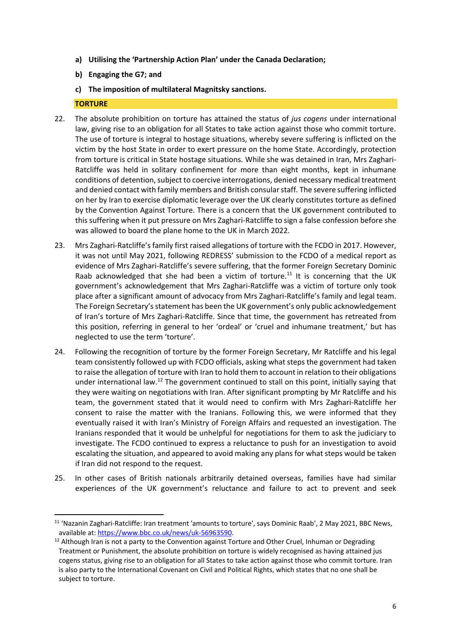- **a) Utilising the 'Partnership Action Plan' under the Canada Declaration;**
- **b) Engaging the G7; and**
- **c) The imposition of multilateral Magnitsky sanctions.**

# **TORTURE**

- 22. The absolute prohibition on torture has attained the status of *jus cogens* under international law, giving rise to an obligation for all States to take action against those who commit torture. The use of torture is integral to hostage situations, whereby severe suffering is inflicted on the victim by the host State in order to exert pressure on the home State. Accordingly, protection from torture is critical in State hostage situations. While she was detained in Iran, Mrs Zaghari-Ratcliffe was held in solitary confinement for more than eight months, kept in inhumane conditions of detention, subject to coercive interrogations, denied necessary medical treatment and denied contact with family members and British consular staff. The severe suffering inflicted on her by Iran to exercise diplomatic leverage over the UK clearly constitutes torture as defined by the Convention Against Torture. There is a concern that the UK government contributed to this suffering when it put pressure on Mrs Zaghari-Ratcliffe to sign a false confession before she was allowed to board the plane home to the UK in March 2022.
- 23. Mrs Zaghari-Ratcliffe's family first raised allegations of torture with the FCDO in 2017. However, it was not until May 2021, following REDRESS' submission to the FCDO of a medical report as evidence of Mrs Zaghari-Ratcliffe's severe suffering, that the former Foreign Secretary Dominic Raab acknowledged that she had been a victim of torture.<sup>11</sup> It is concerning that the UK government's acknowledgement that Mrs Zaghari-Ratcliffe was a victim of torture only took place after a significant amount of advocacy from Mrs Zaghari-Ratcliffe's family and legal team. The Foreign Secretary's statement has been the UK government's only public acknowledgement of Iran's torture of Mrs Zaghari-Ratcliffe. Since that time, the government has retreated from this position, referring in general to her 'ordeal' or 'cruel and inhumane treatment,' but has neglected to use the term 'torture'.
- 24. Following the recognition of torture by the former Foreign Secretary, Mr Ratcliffe and his legal team consistently followed up with FCDO officials, asking what steps the government had taken to raise the allegation of torture with Iran to hold them to account in relation to their obligations under international law.<sup>12</sup> The government continued to stall on this point, initially saying that they were waiting on negotiations with Iran. After significant prompting by Mr Ratcliffe and his team, the government stated that it would need to confirm with Mrs Zaghari-Ratcliffe her consent to raise the matter with the Iranians. Following this, we were informed that they eventually raised it with Iran's Ministry of Foreign Affairs and requested an investigation. The Iranians responded that it would be unhelpful for negotiations for them to ask the judiciary to investigate. The FCDO continued to express a reluctance to push for an investigation to avoid escalating the situation, and appeared to avoid making any plans for what steps would be taken if Iran did not respond to the request.
- 25. In other cases of British nationals arbitrarily detained overseas, families have had similar experiences of the UK government's reluctance and failure to act to prevent and seek

<sup>&</sup>lt;sup>11</sup> 'Nazanin Zaghari-Ratcliffe: Iran treatment 'amounts to torture', says Dominic Raab', 2 May 2021, BBC News, available at: [https://www.bbc.co.uk/news/uk-56963590.](about:blank)

 $12$  Although Iran is not a party to the Convention against Torture and Other Cruel, Inhuman or Degrading Treatment or Punishment, the absolute prohibition on torture is widely recognised as having attained jus cogens status, giving rise to an obligation for all States to take action against those who commit torture. Iran is also party to the International Covenant on Civil and Political Rights, which states that no one shall be subject to torture.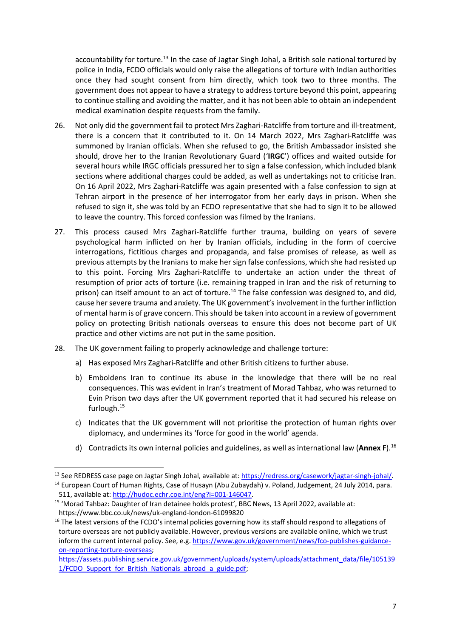accountability for torture.<sup>13</sup> In the case of Jagtar Singh Johal, a British sole national tortured by police in India, FCDO officials would only raise the allegations of torture with Indian authorities once they had sought consent from him directly, which took two to three months. The government does not appear to have a strategy to address torture beyond this point, appearing to continue stalling and avoiding the matter, and it has not been able to obtain an independent medical examination despite requests from the family.

- 26. Not only did the government fail to protect Mrs Zaghari-Ratcliffe from torture and ill-treatment, there is a concern that it contributed to it. On 14 March 2022, Mrs Zaghari-Ratcliffe was summoned by Iranian officials. When she refused to go, the British Ambassador insisted she should, drove her to the Iranian Revolutionary Guard ('**IRGC**') offices and waited outside for several hours while IRGC officials pressured her to sign a false confession, which included blank sections where additional charges could be added, as well as undertakings not to criticise Iran. On 16 April 2022, Mrs Zaghari-Ratcliffe was again presented with a false confession to sign at Tehran airport in the presence of her interrogator from her early days in prison. When she refused to sign it, she was told by an FCDO representative that she had to sign it to be allowed to leave the country. This forced confession was filmed by the Iranians.
- 27. This process caused Mrs Zaghari-Ratcliffe further trauma, building on years of severe psychological harm inflicted on her by Iranian officials, including in the form of coercive interrogations, fictitious charges and propaganda, and false promises of release, as well as previous attempts by the Iranians to make her sign false confessions, which she had resisted up to this point. Forcing Mrs Zaghari-Ratcliffe to undertake an action under the threat of resumption of prior acts of torture (i.e. remaining trapped in Iran and the risk of returning to prison) can itself amount to an act of torture.<sup>14</sup> The false confession was designed to, and did, cause her severe trauma and anxiety. The UK government's involvement in the further infliction of mental harm is of grave concern. This should be taken into account in a review of government policy on protecting British nationals overseas to ensure this does not become part of UK practice and other victims are not put in the same position.
- 28. The UK government failing to properly acknowledge and challenge torture:
	- a) Has exposed Mrs Zaghari-Ratcliffe and other British citizens to further abuse.
	- b) Emboldens Iran to continue its abuse in the knowledge that there will be no real consequences. This was evident in Iran's treatment of Morad Tahbaz, who was returned to Evin Prison two days after the UK government reported that it had secured his release on furlough.<sup>15</sup>
	- c) Indicates that the UK government will not prioritise the protection of human rights over diplomacy, and undermines its 'force for good in the world' agenda.
	- d) Contradicts its own internal policies and guidelines, as well as international law (**Annex F**).<sup>16</sup>

<sup>&</sup>lt;sup>13</sup> See REDRESS case page on Jagtar Singh Johal, available at[: https://redress.org/casework/jagtar-singh-johal/.](about:blank) <sup>14</sup> European Court of Human Rights, Case of Husayn (Abu Zubaydah) v. Poland, Judgement, 24 July 2014, para. 511, available at: [http://hudoc.echr.coe.int/eng?i=001-146047.](http://hudoc.echr.coe.int/eng?i=001-146047)

<sup>&</sup>lt;sup>15</sup> 'Morad Tahbaz: Daughter of Iran detainee holds protest', BBC News, 13 April 2022, available at: https://www.bbc.co.uk/news/uk-england-london-61099820

<sup>&</sup>lt;sup>16</sup> The latest versions of the FCDO's internal policies governing how its staff should respond to allegations of torture overseas are not publicly available. However, previous versions are available online, which we trust inform the current internal policy. See, e.g[. https://www.gov.uk/government/news/fco-publishes-guidance](about:blank)[on-reporting-torture-overseas;](about:blank)

[https://assets.publishing.service.gov.uk/government/uploads/system/uploads/attachment\\_data/file/105139](about:blank) [1/FCDO\\_Support\\_for\\_British\\_Nationals\\_abroad\\_a\\_guide.pdf;](about:blank)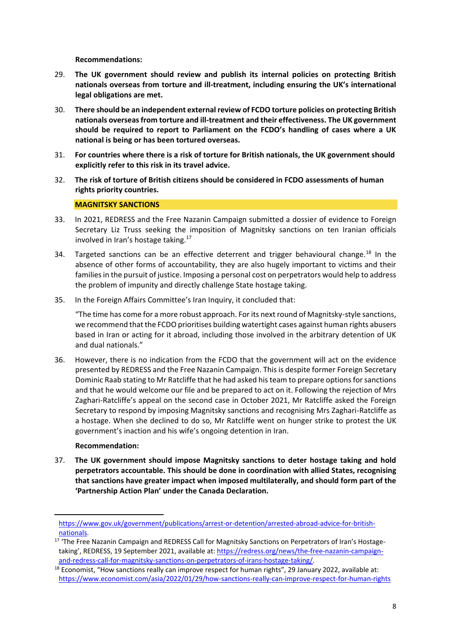**Recommendations:**

- 29. **The UK government should review and publish its internal policies on protecting British nationals overseas from torture and ill-treatment, including ensuring the UK's international legal obligations are met.**
- 30. **There should be an independent external review of FCDO torture policies on protecting British nationals overseas from torture and ill-treatment and their effectiveness. The UK government should be required to report to Parliament on the FCDO's handling of cases where a UK national is being or has been tortured overseas.**
- 31. **For countries where there is a risk of torture for British nationals, the UK government should explicitly refer to this risk in its travel advice.**
- 32. **The risk of torture of British citizens should be considered in FCDO assessments of human rights priority countries.**

## **MAGNITSKY SANCTIONS**

- 33. In 2021, REDRESS and the Free Nazanin Campaign submitted a dossier of evidence to Foreign Secretary Liz Truss seeking the imposition of Magnitsky sanctions on ten Iranian officials involved in Iran's hostage taking. $17$
- 34. Targeted sanctions can be an effective deterrent and trigger behavioural change.<sup>18</sup> In the absence of other forms of accountability, they are also hugely important to victims and their families in the pursuit of justice. Imposing a personal cost on perpetrators would help to address the problem of impunity and directly challenge State hostage taking.
- 35. In the Foreign Affairs Committee's Iran Inquiry, it concluded that:

"The time has come for a more robust approach. For its next round of Magnitsky-style sanctions, we recommend that the FCDO prioritises building watertight cases against human rights abusers based in Iran or acting for it abroad, including those involved in the arbitrary detention of UK and dual nationals."

36. However, there is no indication from the FCDO that the government will act on the evidence presented by REDRESS and the Free Nazanin Campaign. This is despite former Foreign Secretary Dominic Raab stating to Mr Ratcliffe that he had asked his team to prepare options for sanctions and that he would welcome our file and be prepared to act on it. Following the rejection of Mrs Zaghari-Ratcliffe's appeal on the second case in October 2021, Mr Ratcliffe asked the Foreign Secretary to respond by imposing Magnitsky sanctions and recognising Mrs Zaghari-Ratcliffe as a hostage. When she declined to do so, Mr Ratcliffe went on hunger strike to protest the UK government's inaction and his wife's ongoing detention in Iran.

## **Recommendation:**

37. **The UK government should impose Magnitsky sanctions to deter hostage taking and hold perpetrators accountable. This should be done in coordination with allied States, recognising that sanctions have greater impact when imposed multilaterally, and should form part of the 'Partnership Action Plan' under the Canada Declaration.**

[https://www.gov.uk/government/publications/arrest-or-detention/arrested-abroad-advice-for-british](about:blank)[nationals.](about:blank)

<sup>&</sup>lt;sup>17</sup> 'The Free Nazanin Campaign and REDRESS Call for Magnitsky Sanctions on Perpetrators of Iran's Hostagetaking', REDRESS, 19 September 2021, available at: [https://redress.org/news/the-free-nazanin-campaign](https://redress.org/news/the-free-nazanin-campaign-and-redress-call-for-magnitsky-sanctions-on-perpetrators-of-irans-hostage-taking/)[and-redress-call-for-magnitsky-sanctions-on-perpetrators-of-irans-hostage-taking/.](https://redress.org/news/the-free-nazanin-campaign-and-redress-call-for-magnitsky-sanctions-on-perpetrators-of-irans-hostage-taking/)

<sup>&</sup>lt;sup>18</sup> Economist, "How sanctions really can improve respect for human rights", 29 January 2022, available at: [https://www.economist.com/asia/2022/01/29/how-sanctions-really-can-improve-respect-for-human-rights](about:blank)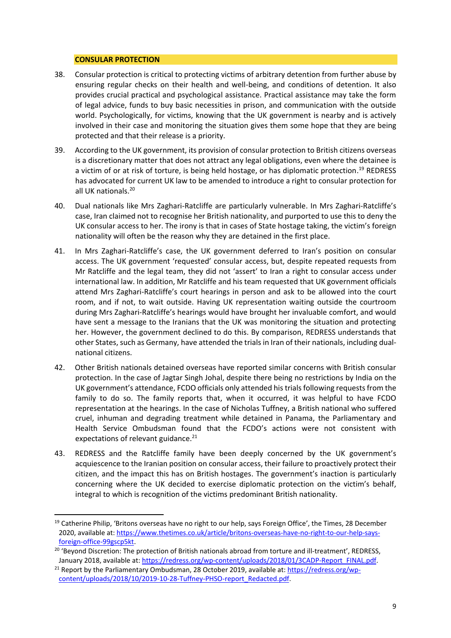#### **CONSULAR PROTECTION**

- 38. Consular protection is critical to protecting victims of arbitrary detention from further abuse by ensuring regular checks on their health and well-being, and conditions of detention. It also provides crucial practical and psychological assistance. Practical assistance may take the form of legal advice, funds to buy basic necessities in prison, and communication with the outside world. Psychologically, for victims, knowing that the UK government is nearby and is actively involved in their case and monitoring the situation gives them some hope that they are being protected and that their release is a priority.
- 39. According to the UK government, its provision of consular protection to British citizens overseas is a discretionary matter that does not attract any legal obligations, even where the detainee is a victim of or at risk of torture, is being held hostage, or has diplomatic protection.<sup>19</sup> REDRESS has advocated for current UK law to be amended to introduce a right to consular protection for all UK nationals. 20
- 40. Dual nationals like Mrs Zaghari-Ratcliffe are particularly vulnerable. In Mrs Zaghari-Ratcliffe's case, Iran claimed not to recognise her British nationality, and purported to use this to deny the UK consular access to her. The irony is that in cases of State hostage taking, the victim's foreign nationality will often be the reason why they are detained in the first place.
- 41. In Mrs Zaghari-Ratcliffe's case, the UK government deferred to Iran's position on consular access. The UK government 'requested' consular access, but, despite repeated requests from Mr Ratcliffe and the legal team, they did not 'assert' to Iran a right to consular access under international law. In addition, Mr Ratcliffe and his team requested that UK government officials attend Mrs Zaghari-Ratcliffe's court hearings in person and ask to be allowed into the court room, and if not, to wait outside. Having UK representation waiting outside the courtroom during Mrs Zaghari-Ratcliffe's hearings would have brought her invaluable comfort, and would have sent a message to the Iranians that the UK was monitoring the situation and protecting her. However, the government declined to do this. By comparison, REDRESS understands that other States, such as Germany, have attended the trials in Iran of their nationals, including dualnational citizens.
- 42. Other British nationals detained overseas have reported similar concerns with British consular protection. In the case of Jagtar Singh Johal, despite there being no restrictions by India on the UK government's attendance, FCDO officials only attended his trials following requests from the family to do so. The family reports that, when it occurred, it was helpful to have FCDO representation at the hearings. In the case of Nicholas Tuffney, a British national who suffered cruel, inhuman and degrading treatment while detained in Panama, the Parliamentary and Health Service Ombudsman found that the FCDO's actions were not consistent with expectations of relevant guidance.<sup>21</sup>
- 43. REDRESS and the Ratcliffe family have been deeply concerned by the UK government's acquiescence to the Iranian position on consular access, their failure to proactively protect their citizen, and the impact this has on British hostages. The government's inaction is particularly concerning where the UK decided to exercise diplomatic protection on the victim's behalf, integral to which is recognition of the victims predominant British nationality.

<sup>&</sup>lt;sup>19</sup> Catherine Philip, 'Britons overseas have no right to our help, says Foreign Office', the Times, 28 December 2020, available at: [https://www.thetimes.co.uk/article/britons-overseas-have-no-right-to-our-help-says](about:blank)[foreign-office-99gscp5kt.](about:blank)

<sup>&</sup>lt;sup>20</sup> 'Beyond Discretion: The protection of British nationals abroad from torture and ill-treatment', REDRESS, January 2018, available at[: https://redress.org/wp-content/uploads/2018/01/3CADP-Report\\_FINAL.pdf.](about:blank)

<sup>&</sup>lt;sup>21</sup> Report by the Parliamentary Ombudsman, 28 October 2019, available at[: https://redress.org/wp](https://redress.org/wp-content/uploads/2018/10/2019-10-28-Tuffney-PHSO-report_Redacted.pdf)[content/uploads/2018/10/2019-10-28-Tuffney-PHSO-report\\_Redacted.pdf.](https://redress.org/wp-content/uploads/2018/10/2019-10-28-Tuffney-PHSO-report_Redacted.pdf)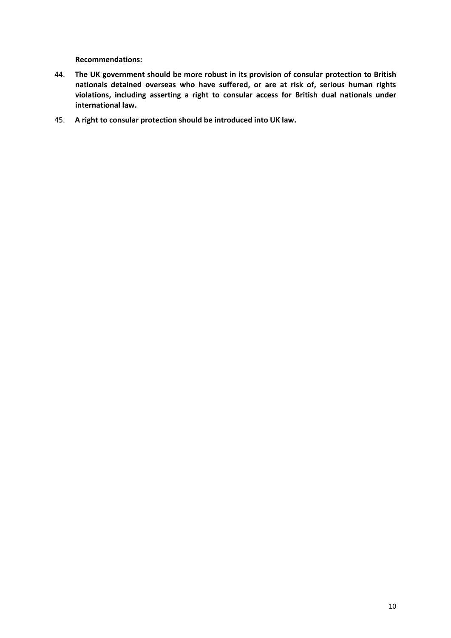**Recommendations:**

- 44. **The UK government should be more robust in its provision of consular protection to British nationals detained overseas who have suffered, or are at risk of, serious human rights violations, including asserting a right to consular access for British dual nationals under international law.**
- 45. **A right to consular protection should be introduced into UK law.**